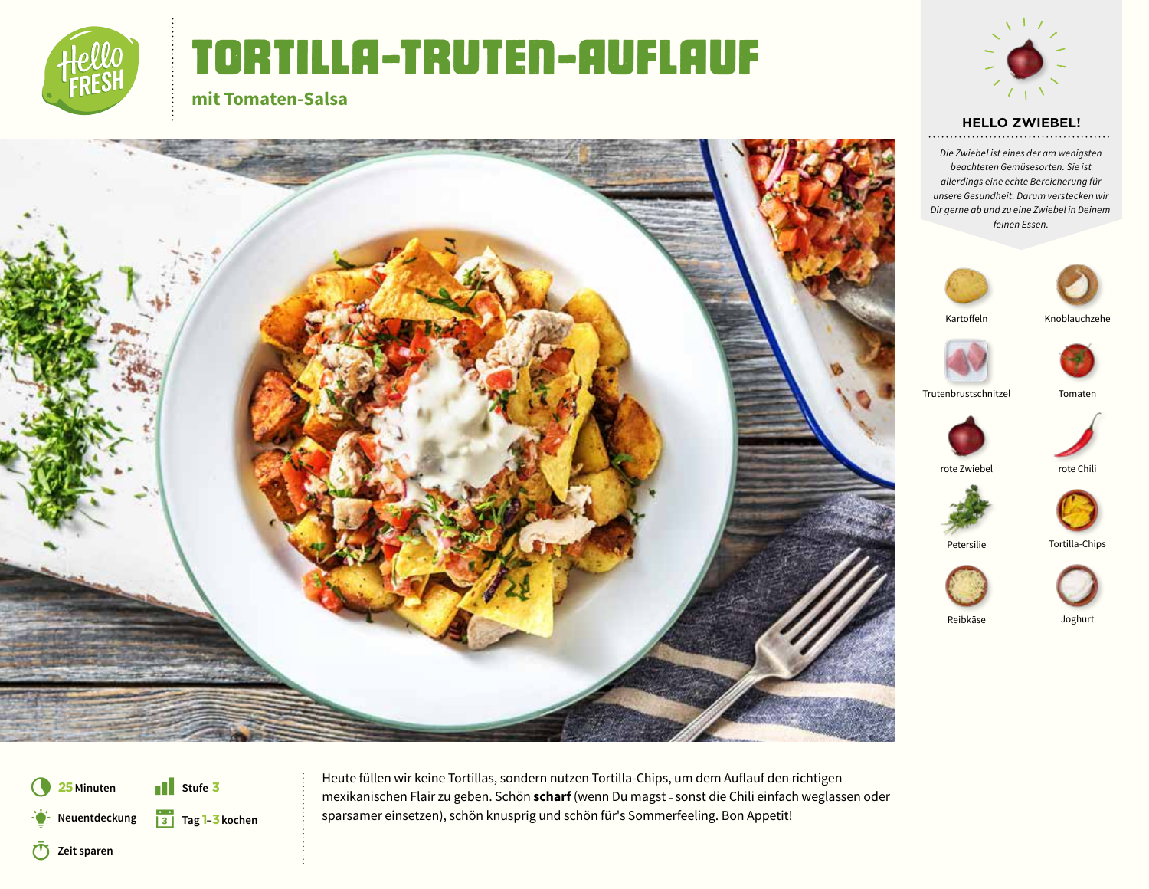

**mit Tomaten-Salsa**

## TORTILLA-truten-AUFLAUF



#### **HELLO ZWIEBEL!**

*Die Zwiebel ist eines der am wenigsten beachteten Gemüsesorten. Sie ist allerdings eine echte Bereicherung für unsere Gesundheit. Darum verstecken wir Dir gerne ab und zu eine Zwiebel in Deinem feinen Essen.*









Trutenbrustschnitzel Tomaten







Tortilla-Chips

Reibkäse Joghurt



**25Minuten** Q **Zeit sparen** D **Neuentdeckung** § **Tag 1–3 kochen**  $\blacksquare$  Stufe 3

5 **Stufe <sup>3</sup>** Heute füllen wir keine Tortillas, sondern nutzen Tortilla-Chips, um dem Auflauf den richtigen mexikanischen Flair zu geben. Schön **scharf** (wenn Du magst – sonst die Chili einfach weglassen oder sparsamer einsetzen), schön knusprig und schön für's Sommerfeeling. Bon Appetit!

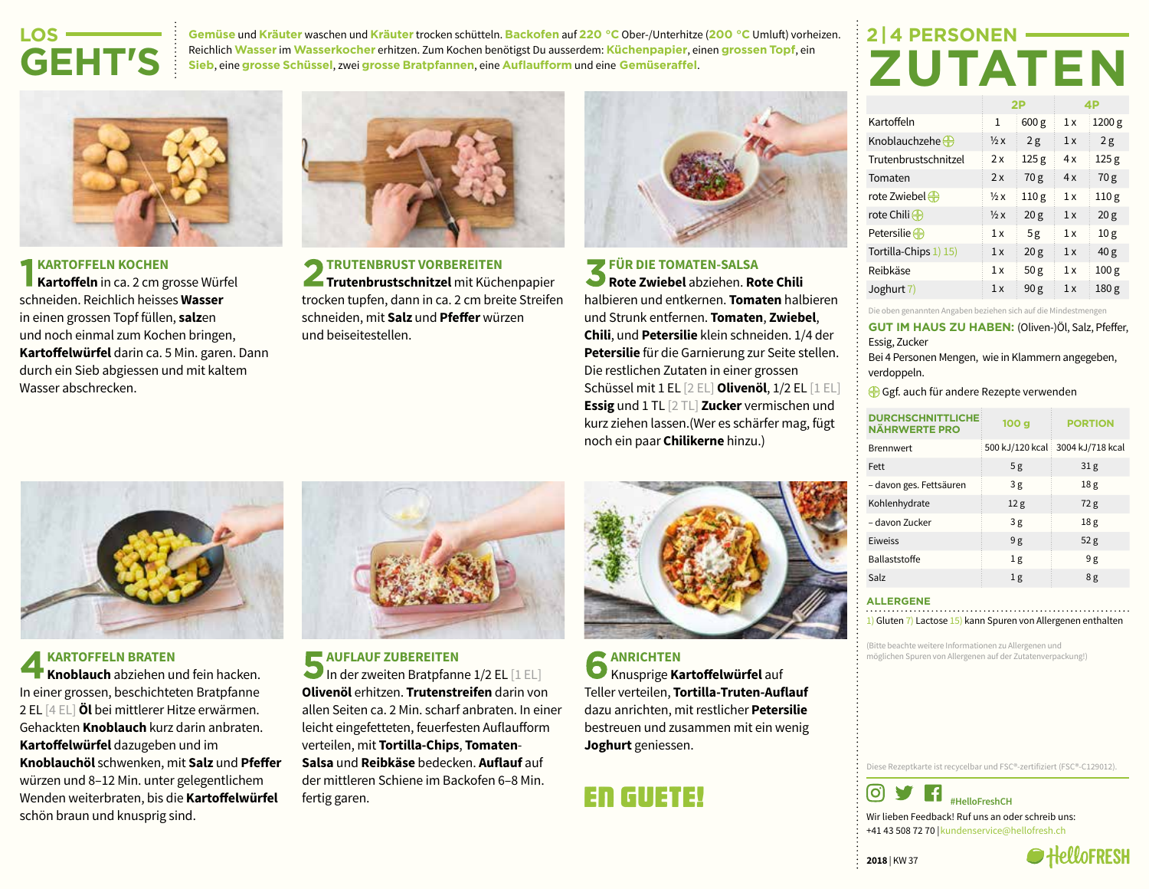## **LOS-GEHT'S**

**Gemüse** und **Kräuter** waschen und **Kräuter** trocken schütteln. **Backofen** auf **220 °C** Ober-/Unterhitze (**200 °C** Umluft) vorheizen. Reichlich **Wasser** im **Wasserkocher** erhitzen. Zum Kochen benötigst Du ausserdem: **Küchenpapier**, einen **grossen Topf**, ein **Sieb**, eine **grosse Schüssel**, zwei **grosse Bratpfannen**, eine **Auflaufform** und eine **Gemüseraffel**.



#### **KARTOFFELN KOCHEN**

**Kartoffeln** in ca. 2 cm grosse Würfel schneiden. Reichlich heisses **Wasser** in einen grossen Topf füllen, **salz**en und noch einmal zum Kochen bringen, **Kartoffelwürfel** darin ca. 5 Min. garen. Dann durch ein Sieb abgiessen und mit kaltem Wasser abschrecken.



**TRUTENBRUST VORBEREITEN Trutenbrustschnitzel** mit Küchenpapier trocken tupfen, dann in ca. 2 cm breite Streifen schneiden, mit **Salz** und **Pfeffer** würzen und beiseitestellen.



#### **FÜR DIE TOMATEN-SALSA**

**Rote Zwiebel** abziehen. **Rote Chili** halbieren und entkernen. **Tomaten** halbieren und Strunk entfernen. **Tomaten**, **Zwiebel**, **Chili**, und **Petersilie** klein schneiden. 1/4 der **Petersilie** für die Garnierung zur Seite stellen. Die restlichen Zutaten in einer grossen Schüssel mit 1 EL [2 EL] **Olivenöl**, 1/2 EL [1 EL] **Essig** und 1 TL [2 TL] **Zucker** vermischen und kurz ziehen lassen.(Wer es schärfer mag, fügt noch ein paar **Chilikerne** hinzu.)

**KARTOFFELN BRATEN Knoblauch** abziehen und fein hacken. In einer grossen, beschichteten Bratpfanne 2 EL [4 EL] **Öl** bei mittlerer Hitze erwärmen. Gehackten **Knoblauch** kurz darin anbraten. **Kartoffelwürfel** dazugeben und im **Knoblauchöl** schwenken, mit **Salz** und **Pfeffer** würzen und 8–12 Min. unter gelegentlichem Wenden weiterbraten, bis die **Kartoffelwürfel** schön braun und knusprig sind.



**AUFLAUF ZUBEREITEN** In der zweiten Bratpfanne  $1/2$  EL  $[1$  EL $]$ **Olivenöl** erhitzen. **Trutenstreifen** darin von allen Seiten ca. 2 Min. scharf anbraten. In einer leicht eingefetteten, feuerfesten Auflaufform verteilen, mit **Tortilla-Chips**, **Tomaten**-**Salsa** und **Reibkäse** bedecken. **Auflauf** auf der mittleren Schiene im Backofen 6–8 Min. fertig garen.



**ANRICHTEN** Knusprige **Kartoffelwürfel** auf Teller verteilen, **Tortilla-Truten-Auflauf** dazu anrichten, mit restlicher **Petersilie** bestreuen und zusammen mit ein wenig **Joghurt** geniessen.

### En Guete!

## **2 | 4 PERSONEN-ZUTATEN**

|                             |                | 2P               |    | 4P               |
|-----------------------------|----------------|------------------|----|------------------|
| Kartoffeln                  | 1              | 600 g            | 1x | 1200 g           |
| Knoblauchzehe $\oplus$      | $\frac{1}{2}x$ | 2g               | 1x | 2g               |
| Trutenbrustschnitzel        | 2x             | 125 <sub>g</sub> | 4x | 125 <sub>g</sub> |
| Tomaten                     | 2x             | 70 g             | 4x | 70 g             |
| rote Zwiebel <sup>(1)</sup> | $\frac{1}{2}x$ | 110 <sub>g</sub> | 1x | 110 <sub>g</sub> |
| rote Chili $\bigoplus$      | $\frac{1}{2}x$ | 20 <sub>g</sub>  | 1x | 20 <sub>g</sub>  |
| Petersilie $\bigoplus$      | 1x             | 5g               | 1x | 10 <sub>g</sub>  |
| Tortilla-Chips 1) 15)       | 1x             | 20 <sub>g</sub>  | 1x | 40 <sub>g</sub>  |
| Reibkäse                    | 1x             | 50g              | 1x | 100 <sub>g</sub> |
| Joghurt 7)                  | 1x             | 90 <sub>g</sub>  | 1x | 180 <sub>g</sub> |

Die oben genannten Angaben beziehen sich auf die Mindestmengen

**GUT IM HAUS ZU HABEN:** (Oliven-)Öl, Salz, Pfeffer, Essig, Zucker

Bei 4 Personen Mengen, wie in Klammern angegeben, verdoppeln.

Gef. auch für andere Rezepte verwenden

| <b>DURCHSCHNITTLICHE:</b><br><b>NÄHRWERTE PRO</b> | 100 g           | <b>PORTION</b>   |  |
|---------------------------------------------------|-----------------|------------------|--|
| <b>Brennwert</b>                                  | 500 kJ/120 kcal | 3004 kJ/718 kcal |  |
| Fett                                              | 5g              | 31 <sub>g</sub>  |  |
| - davon ges. Fettsäuren                           | 3g              | 18g              |  |
| Kohlenhydrate                                     | 12g             | 72g              |  |
| - davon Zucker                                    | 3g              | 18 <sub>g</sub>  |  |
| <b>Fiweiss</b>                                    | 9g              | 52 <sub>g</sub>  |  |
| <b>Ballaststoffe</b>                              | 1g              | 9g               |  |
| Salz                                              | 1 <sub>g</sub>  | 8g               |  |
|                                                   |                 |                  |  |

#### **ALLERGENE**

1) Gluten 7) Lactose 15) kann Spuren von Allergenen enthalten

(Bitte beachte weitere Informationen zu Allergenen und möglichen Spuren von Allergenen auf der Zutatenverpackung!)

Diese Rezeptkarte ist recycelbar und FSC®-zertifiziert (FSC®-C129012).



Wir lieben Feedback! Ruf uns an oder schreib uns: +41 43 508 72 70 |kundenservice@hellofresh.ch

**2018** | KW 37

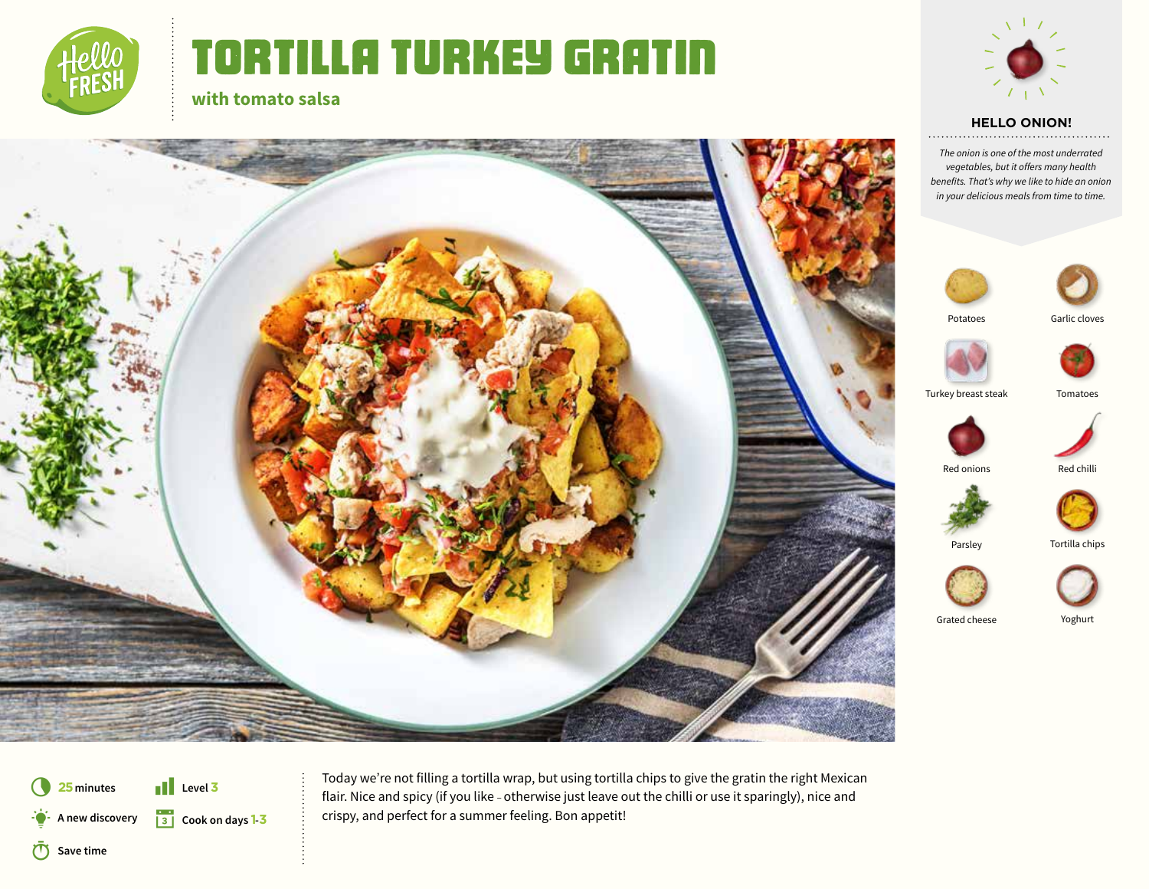

## TORTILLA turkey GRATIN



#### **HELLO ONION!**

*The onion is one of the most underrated vegetables, but it offers many health benefits. That's why we like to hide an onion in your delicious meals from time to time.*



















Grated cheese Yoghurt



**25minutes** Q **Save time** D **A new discovery** § **Cook on days 1-<sup>3</sup>**  $\blacksquare$  Level 3

**Cook on days 1 - 3**

**with tomato salsa**

**1** Level 3 [1] Level 3 [1] Level 3 [1] Level 3 [1] Level 3 [1] Level 3 [1] Level 3 [1] Level 3 [1] Level 3 [1] Level 3 [1] Level 3 [1] Level 3 [1] [1] Level 3 [1] [1] [1] In the straing has the straing has the straing has crispy, and perfect for a summer feeling. Bon appetit!











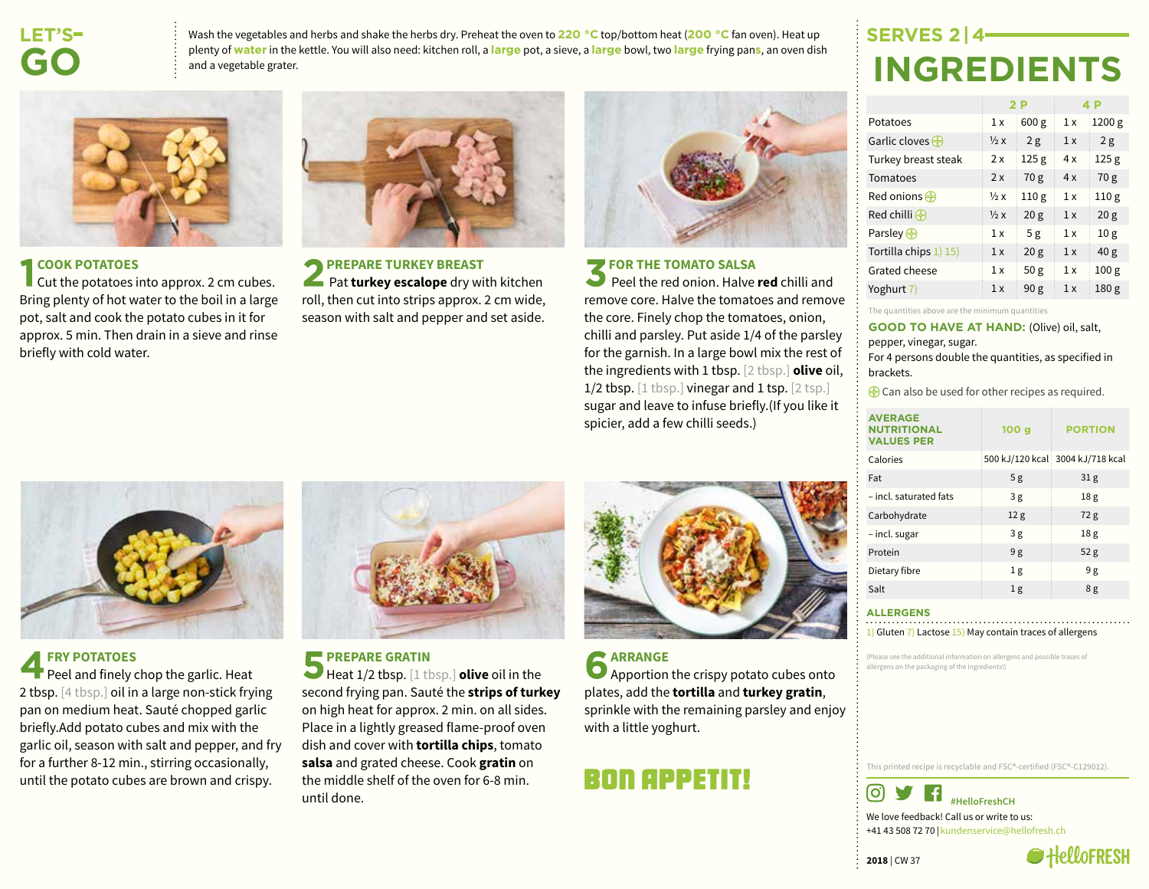### **LET'S  GO**

Wash the vegetables and herbs and shake the herbs dry. Preheat the oven to **220 °C** top/bottom heat (**200 °C** fan oven). Heat up plenty of **water** in the kettle. You will also need: kitchen roll, a **large** pot, a sieve, a **large** bowl, two **large** frying pan**s**, an oven dish and a vegetable grater.



#### **EXAMPLE COOK POTATOES**

 $\blacksquare$  Cut the potatoes into approx. 2 cm cubes. Bring plenty of hot water to the boil in a large pot, salt and cook the potato cubes in it for approx. 5 min. Then drain in a sieve and rinse briefly with cold water.



**PREPARE TURKEY BREAST Pat turkey escalope** dry with kitchen roll, then cut into strips approx. 2 cm wide, season with salt and pepper and set aside.



#### **FOR THE TOMATO SALSA**

 Peel the red onion. Halve **red** chilli and remove core. Halve the tomatoes and remove the core. Finely chop the tomatoes, onion, chilli and parsley. Put aside 1/4 of the parsley for the garnish. In a large bowl mix the rest of the ingredients with 1 tbsp. [2 tbsp.] **olive** oil, 1/2 tbsp. [1 tbsp.] vinegar and 1 tsp. [2 tsp.] sugar and leave to infuse briefly.(If you like it spicier, add a few chilli seeds.)

## **SERVES 2 | 4 INGREDIENTS**

|                           |                | 2 P              |     | 4 P              |
|---------------------------|----------------|------------------|-----|------------------|
| Potatoes                  | 1 x            | 600 g            | 1 x | 1200 g           |
| Garlic cloves $\bigoplus$ | $\frac{1}{2}x$ | 2g               | 1x  | 2g               |
| Turkey breast steak       | 2x             | 125 <sub>g</sub> | 4 x | 125 <sub>g</sub> |
| Tomatoes                  | 2x             | 70 g             | 4x  | 70 g             |
| Red onions $\bigoplus$    | $\frac{1}{2}x$ | 110 <sub>g</sub> | 1 x | 110 <sub>g</sub> |
| Red chilli $\bigoplus$    | $\frac{1}{2}x$ | 20 <sub>g</sub>  | 1 x | 20 <sub>g</sub>  |
| Parsley $\bigoplus$       | 1 x            | 5g               | 1x  | 10 <sub>g</sub>  |
| Tortilla chips 1) 15)     | 1x             | 20 <sub>g</sub>  | 1x  | 40 <sub>g</sub>  |
| Grated cheese             | 1 x            | 50 <sub>g</sub>  | 1x  | 100 <sub>g</sub> |
| Yoghurt 7)                | 1 x            | 90 <sub>g</sub>  | 1 x | 180 g            |

The quantities above are the minimum quantities

**GOOD TO HAVE AT HAND:** (Olive) oil, salt, pepper, vinegar, sugar.

For 4 persons double the quantities, as specified in brackets.

 $\bigoplus$  Can also be used for other recipes as required.

| <b>AVERAGE</b><br><b>NUTRITIONAL</b><br><b>VALUES PER</b> | 100 <sub>g</sub> | <b>PORTION</b>                   |
|-----------------------------------------------------------|------------------|----------------------------------|
| Calories                                                  |                  | 500 kJ/120 kcal 3004 kJ/718 kcal |
| Fat                                                       | 5g               | 31 <sub>g</sub>                  |
| - incl. saturated fats                                    | 3g               | 18 <sub>g</sub>                  |
| Carbohydrate                                              | 12 <sub>g</sub>  | 72g                              |
| - incl. sugar                                             | 3g               | 18 <sub>g</sub>                  |
| Protein                                                   | 9g               | 52 <sub>g</sub>                  |
| Dietary fibre                                             | 1 <sub>g</sub>   | 9 g                              |
| Salt                                                      | 1 <sub>g</sub>   | 8g                               |

#### **ALLERGENS**

1) Gluten 7) Lactose 15) May contain traces of allergens

(Please see the additional information on allergens and possible traces of allergens on the packaging of the ingredients!)

This printed recipe is recyclable and FSC®-certified (FSC®-C129012).

 $\vert f \vert$ ତା **#HelloFreshCH** We love feedback! Call us or write to us:

+41 43 508 72 70 |kundenservice@hellofresh.ch

#### **FRY POTATOES**

Peel and finely chop the garlic. Heat 2 tbsp. [4 tbsp.] oil in a large non-stick frying pan on medium heat. Sauté chopped garlic briefly.Add potato cubes and mix with the garlic oil, season with salt and pepper, and fry for a further 8-12 min., stirring occasionally, until the potato cubes are brown and crispy.



**PREPARE GRATIN** 

Heat 1/2 tbsp. [1 tbsp.] **olive** oil in the second frying pan. Sauté the **strips of turkey** on high heat for approx. 2 min. on all sides. Place in a lightly greased flame-proof oven dish and cover with **tortilla chips**, tomato **salsa** and grated cheese. Cook **gratin** on the middle shelf of the oven for 6-8 min. until done.



## Bon appetit!

**2018** | CW 37

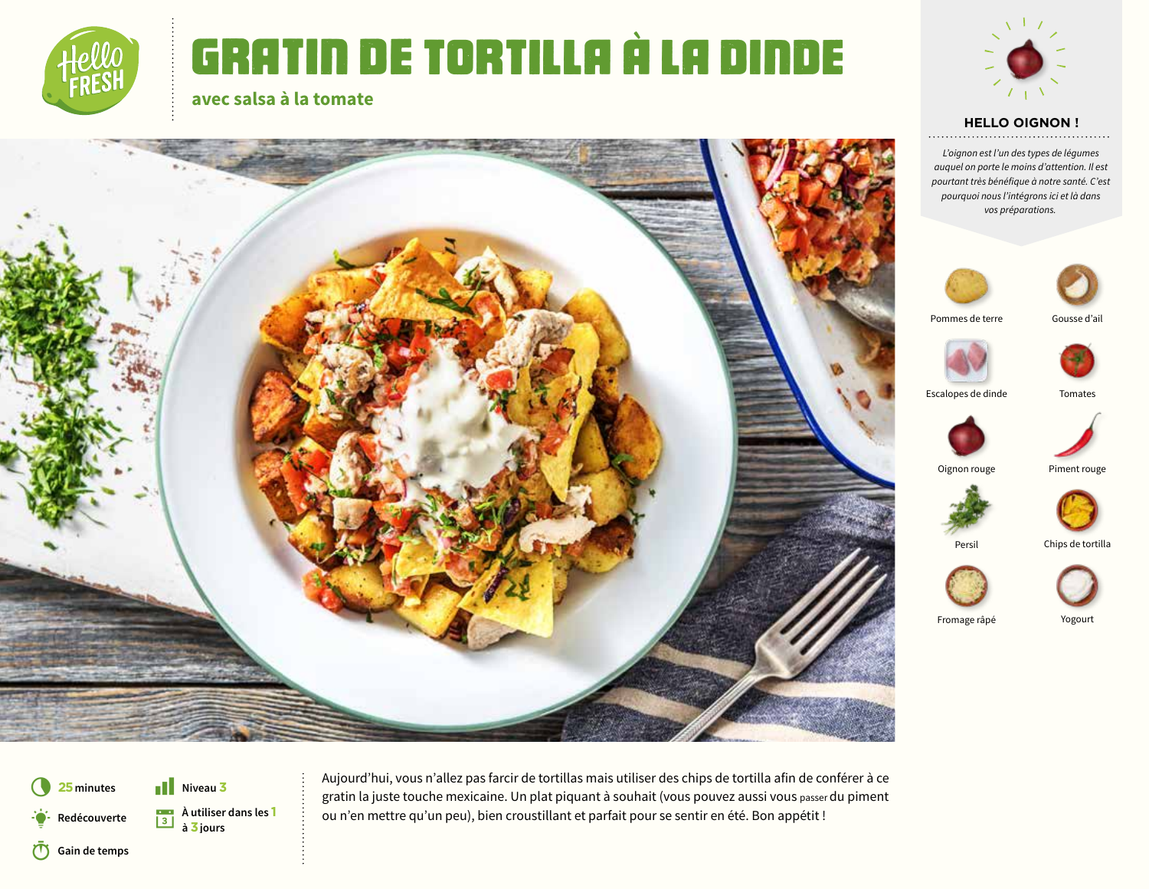

# Gratin de TORTILLA à la dinde



#### **HELLO OIGNON !**

*L'oignon est l'un des types de légumes auquel on porte le moins d'attention. Il est pourtant très bénéfique à notre santé. C'est pourquoi nous l'intégrons ici et là dans vos préparations.*





Pommes de terre









Chips de tortilla

Persil



Fromage râpé Yogourt

**25 minutes** Q **Gain de temps** § **À utiliser dans les <sup>1</sup>** D **<sup>à</sup>3 jours Redécouverte**  $\blacksquare$  Niveau 3

**À utiliser dans les 1 à 3 jours**

**avec salsa à la tomate**

5 **Niveau <sup>3</sup>** Aujourd'hui, vous n'allez pas farcir de tortillas mais utiliser des chips de tortilla afin de conférer à ce gratin la juste touche mexicaine. Un plat piquant à souhait (vous pouvez aussi vous passer du piment ou n'en mettre qu'un peu), bien croustillant et parfait pour se sentir en été. Bon appétit !